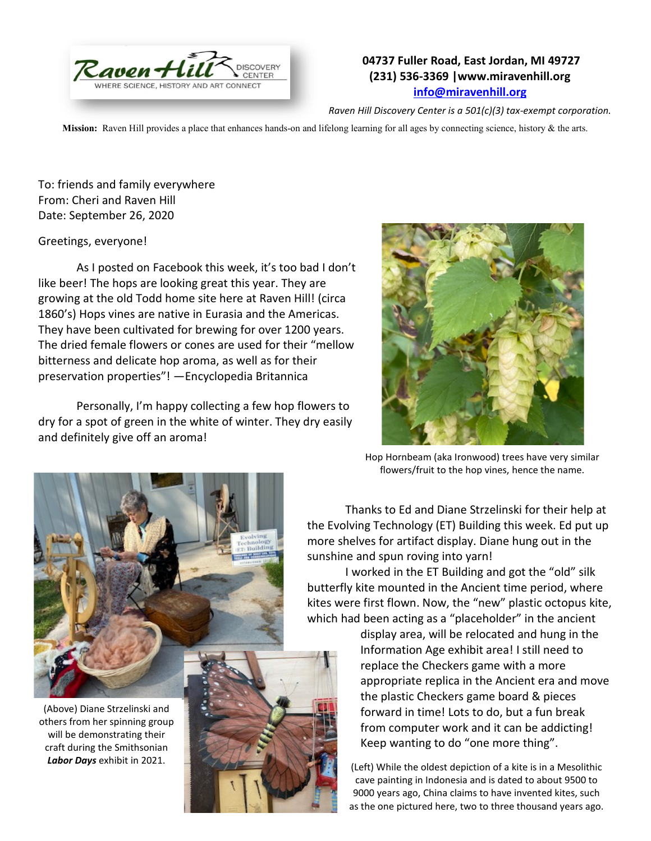

## **04737 Fuller Road, East Jordan, MI 49727 (231) 536-3369 |www.miravenhill.org [info@miravenhill.org](mailto:info@miravenhill.org)**

*Raven Hill Discovery Center is a 501(c)(3) tax-exempt corporation.*

**Mission:** Raven Hill provides a place that enhances hands-on and lifelong learning for all ages by connecting science, history & the arts.

To: friends and family everywhere From: Cheri and Raven Hill Date: September 26, 2020

Greetings, everyone!

As I posted on Facebook this week, it's too bad I don't like beer! The hops are looking great this year. They are growing at the old Todd home site here at Raven Hill! (circa 1860's) Hops vines are native in Eurasia and the Americas. They have been cultivated for brewing for over 1200 years. The dried female flowers or cones are used for their "mellow bitterness and delicate hop aroma, as well as for their preservation properties"! —Encyclopedia Britannica

Personally, I'm happy collecting a few hop flowers to dry for a spot of green in the white of winter. They dry easily and definitely give off an aroma!



Hop Hornbeam (aka Ironwood) trees have very similar flowers/fruit to the hop vines, hence the name.



(Above) Diane Strzelinski and others from her spinning group will be demonstrating their craft during the Smithsonian

Thanks to Ed and Diane Strzelinski for their help at the Evolving Technology (ET) Building this week. Ed put up more shelves for artifact display. Diane hung out in the sunshine and spun roving into yarn!

I worked in the ET Building and got the "old" silk butterfly kite mounted in the Ancient time period, where kites were first flown. Now, the "new" plastic octopus kite, which had been acting as a "placeholder" in the ancient

> display area, will be relocated and hung in the Information Age exhibit area! I still need to replace the Checkers game with a more appropriate replica in the Ancient era and move the plastic Checkers game board & pieces forward in time! Lots to do, but a fun break from computer work and it can be addicting! Keep wanting to do "one more thing".

**Labor Days** exhibit in 2021. cave painting in Indonesia and is dated to about 9500 to 9000 years ago, China claims to have invented kites, such as the one pictured here, two to three thousand years ago.